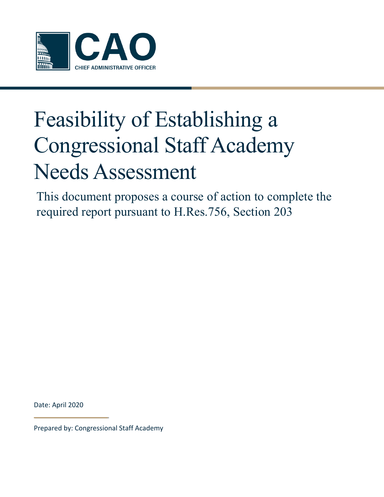

# Feasibility of Establishing a Congressional Staff Academy Needs Assessment

This document proposes a course of action to complete the required report pursuant to H.Res.756, Section 203

Date: April 2020

Prepared by: Congressional Staff Academy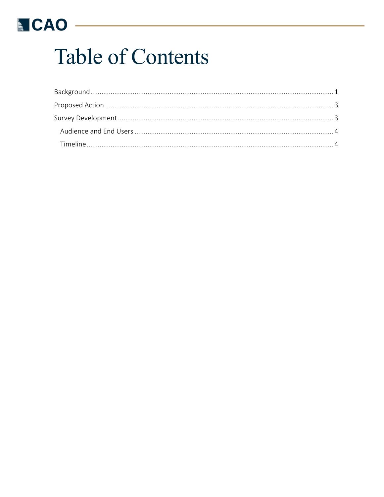## **NCAO**

# **Table of Contents**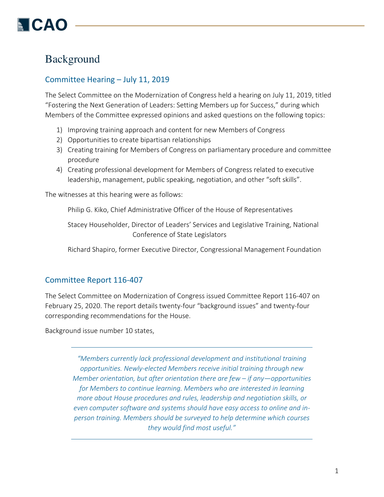## Background

## Committee Hearing – July 11, 2019

The Select Committee on the Modernization of Congress held a hearing on July 11, 2019, titled "Fostering the Next Generation of Leaders: Setting Members up for Success," during which Members of the Committee expressed opinions and asked questions on the following topics:

- 1) Improving training approach and content for new Members of Congress
- 2) Opportunities to create bipartisan relationships
- 3) Creating training for Members of Congress on parliamentary procedure and committee procedure
- 4) Creating professional development for Members of Congress related to executive leadership, management, public speaking, negotiation, and other "soft skills".

The witnesses at this hearing were as follows:

Philip G. Kiko, Chief Administrative Officer of the House of Representatives

Stacey Householder, Director of Leaders' Services and Legislative Training, National Conference of State Legislators

Richard Shapiro, former Executive Director, Congressional Management Foundation

## Committee Report 116-407

The Select Committee on Modernization of Congress issued Committee Report 116-407 on February 25, 2020. The report details twenty-four "background issues" and twenty-four corresponding recommendations for the House.

Background issue number 10 states,

*"Members currently lack professional development and institutional training opportunities. Newly-elected Members receive initial training through new Member orientation, but after orientation there are few – if any—opportunities for Members to continue learning. Members who are interested in learning more about House procedures and rules, leadership and negotiation skills, or even computer software and systems should have easy access to online and inperson training. Members should be surveyed to help determine which courses they would find most useful."*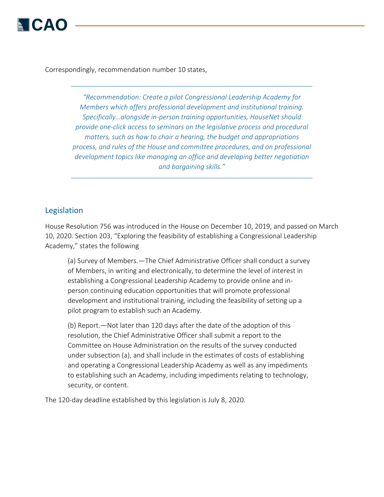Correspondingly, recommendation number 10 states,

*"Recommendation: Create a pilot Congressional Leadership Academy for Members which offers professional development and institutional training. Specifically…alongside in-person training opportunities, HouseNet should provide one-click access to seminars on the legislative process and procedural matters, such as how to chair a hearing, the budget and appropriations process, and rules of the House and committee procedures, and on professional development topics like managing an office and developing better negotiation and bargaining skills."*

#### Legislation

House Resolution 756 was introduced in the House on December 10, 2019, and passed on March 10, 2020. Section 203, "Exploring the feasibility of establishing a Congressional Leadership Academy," states the following

(a) Survey of Members.—The Chief Administrative Officer shall conduct a survey of Members, in writing and electronically, to determine the level of interest in establishing a Congressional Leadership Academy to provide online and inperson continuing education opportunities that will promote professional development and institutional training, including the feasibility of setting up a pilot program to establish such an Academy.

(b) Report.—Not later than 120 days after the date of the adoption of this resolution, the Chief Administrative Officer shall submit a report to the Committee on House Administration on the results of the survey conducted under subsection (a), and shall include in the estimates of costs of establishing and operating a Congressional Leadership Academy as well as any impediments to establishing such an Academy, including impediments relating to technology, security, or content.

The 120-day deadline established by this legislation is July 8, 2020.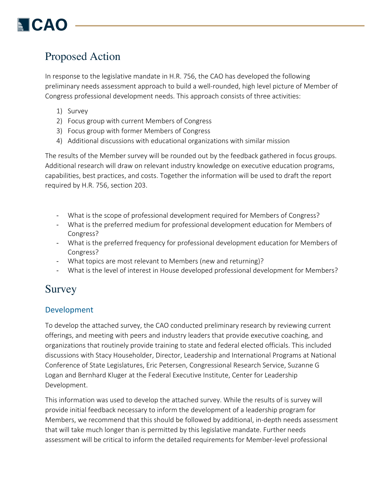## Proposed Action

In response to the legislative mandate in H.R. 756, the CAO has developed the following preliminary needs assessment approach to build a well-rounded, high level picture of Member of Congress professional development needs. This approach consists of three activities:

- 1) Survey
- 2) Focus group with current Members of Congress
- 3) Focus group with former Members of Congress
- 4) Additional discussions with educational organizations with similar mission

The results of the Member survey will be rounded out by the feedback gathered in focus groups. Additional research will draw on relevant industry knowledge on executive education programs, capabilities, best practices, and costs. Together the information will be used to draft the report required by H.R. 756, section 203.

- What is the scope of professional development required for Members of Congress?
- What is the preferred medium for professional development education for Members of Congress?
- What is the preferred frequency for professional development education for Members of Congress?
- What topics are most relevant to Members (new and returning)?
- What is the level of interest in House developed professional development for Members?

## Survey

## Development

To develop the attached survey, the CAO conducted preliminary research by reviewing current offerings, and meeting with peers and industry leaders that provide executive coaching, and organizations that routinely provide training to state and federal elected officials. This included discussions with Stacy Householder, Director, Leadership and International Programs at National Conference of State Legislatures, Eric Petersen, Congressional Research Service, Suzanne G Logan and Bernhard Kluger at the Federal Executive Institute, Center for Leadership Development.

This information was used to develop the attached survey. While the results of is survey will provide initial feedback necessary to inform the development of a leadership program for Members, we recommend that this should be followed by additional, in-depth needs assessment that will take much longer than is permitted by this legislative mandate. Further needs assessment will be critical to inform the detailed requirements for Member-level professional